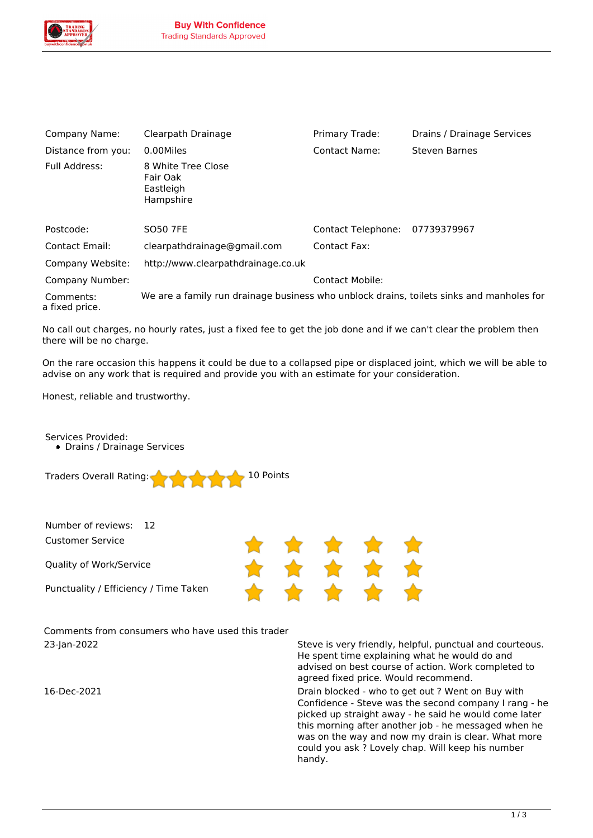

| Company Name:               | Clearpath Drainage                                                                       | Primary Trade:         | Drains / Drainage Services |
|-----------------------------|------------------------------------------------------------------------------------------|------------------------|----------------------------|
| Distance from you:          | 0.00Miles                                                                                | Contact Name:          | <b>Steven Barnes</b>       |
| Full Address:               | 8 White Tree Close<br>Fair Oak<br>Eastleigh<br>Hampshire                                 |                        |                            |
| Postcode:                   | <b>SO50 7FE</b>                                                                          | Contact Telephone:     | 07739379967                |
| <b>Contact Email:</b>       | clearpathdrainage@gmail.com                                                              | Contact Fax:           |                            |
| Company Website:            | http://www.clearpathdrainage.co.uk                                                       |                        |                            |
| Company Number:             |                                                                                          | <b>Contact Mobile:</b> |                            |
| Comments:<br>a fixed price. | We are a family run drainage business who unblock drains, toilets sinks and manholes for |                        |                            |

*No call out charges, no hourly rates, just a fixed fee to get the job done and if we can't clear the problem then there will be no charge.*

*On the rare occasion this happens it could be due to a collapsed pipe or displaced joint, which we will be able to advise on any work that is required and provide you with an estimate for your consideration.*

\* \* \*

*Honest, reliable and trustworthy.*

*Services Provided: Drains / Drainage Services*

*Traders Overall Rating: 10 Points*

*Number of reviews: 12*

*Customer Service*

*Quality of Work/Service*

*Punctuality / Efficiency / Time Taken*

*Comments from consumers who have used this trader*

*23-Jan-2022 Steve is very friendly, helpful, punctual and courteous. He spent time explaining what he would do and advised on best course of action. Work completed to agreed fixed price. Would recommend.*

*16-Dec-2021 Drain blocked - who to get out ? Went on Buy with Confidence - Steve was the second company I rang - he picked up straight away - he said he would come later this morning after another job - he messaged when he was on the way and now my drain is clear. What more could you ask ? Lovely chap. Will keep his number handy.*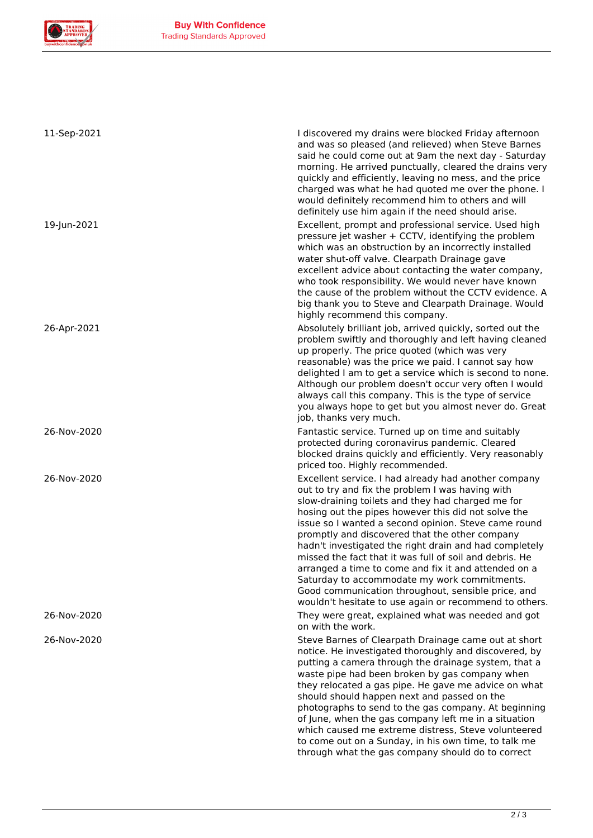

| 11-Sep-2021 | I discovered my drains were blocked Friday afternoon<br>and was so pleased (and relieved) when Steve Barnes<br>said he could come out at 9am the next day - Saturday<br>morning. He arrived punctually, cleared the drains very<br>quickly and efficiently, leaving no mess, and the price<br>charged was what he had quoted me over the phone. I<br>would definitely recommend him to others and will<br>definitely use him again if the need should arise.                                                                                                                                                                                                                |
|-------------|-----------------------------------------------------------------------------------------------------------------------------------------------------------------------------------------------------------------------------------------------------------------------------------------------------------------------------------------------------------------------------------------------------------------------------------------------------------------------------------------------------------------------------------------------------------------------------------------------------------------------------------------------------------------------------|
| 19-Jun-2021 | Excellent, prompt and professional service. Used high<br>pressure jet washer + CCTV, identifying the problem<br>which was an obstruction by an incorrectly installed<br>water shut-off valve. Clearpath Drainage gave<br>excellent advice about contacting the water company,<br>who took responsibility. We would never have known<br>the cause of the problem without the CCTV evidence. A<br>big thank you to Steve and Clearpath Drainage. Would<br>highly recommend this company.                                                                                                                                                                                      |
| 26-Apr-2021 | Absolutely brilliant job, arrived quickly, sorted out the<br>problem swiftly and thoroughly and left having cleaned<br>up properly. The price quoted (which was very<br>reasonable) was the price we paid. I cannot say how<br>delighted I am to get a service which is second to none.<br>Although our problem doesn't occur very often I would<br>always call this company. This is the type of service<br>you always hope to get but you almost never do. Great<br>job, thanks very much.                                                                                                                                                                                |
| 26-Nov-2020 | Fantastic service. Turned up on time and suitably<br>protected during coronavirus pandemic. Cleared<br>blocked drains quickly and efficiently. Very reasonably<br>priced too. Highly recommended.                                                                                                                                                                                                                                                                                                                                                                                                                                                                           |
| 26-Nov-2020 | Excellent service. I had already had another company<br>out to try and fix the problem I was having with<br>slow-draining toilets and they had charged me for<br>hosing out the pipes however this did not solve the<br>issue so I wanted a second opinion. Steve came round<br>promptly and discovered that the other company<br>hadn't investigated the right drain and had completely<br>missed the fact that it was full of soil and debris. He<br>arranged a time to come and fix it and attended on a<br>Saturday to accommodate my work commitments.<br>Good communication throughout, sensible price, and<br>wouldn't hesitate to use again or recommend to others. |
| 26-Nov-2020 | They were great, explained what was needed and got<br>on with the work.                                                                                                                                                                                                                                                                                                                                                                                                                                                                                                                                                                                                     |
| 26-Nov-2020 | Steve Barnes of Clearpath Drainage came out at short<br>notice. He investigated thoroughly and discovered, by<br>putting a camera through the drainage system, that a<br>waste pipe had been broken by gas company when<br>they relocated a gas pipe. He gave me advice on what<br>should should happen next and passed on the<br>photographs to send to the gas company. At beginning<br>of June, when the gas company left me in a situation<br>which caused me extreme distress, Steve volunteered<br>to come out on a Sunday, in his own time, to talk me<br>through what the gas company should do to correct                                                          |